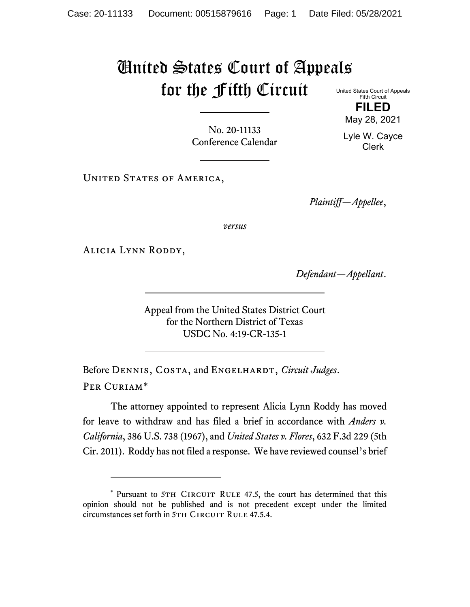## United States Court of Appeals for the Fifth Circuit United States Court of Appeals

Fifth Circuit **FILED**

No. 20-11133 Conference Calendar

UNITED STATES OF AMERICA,

*Plaintiff—Appellee*,

*versus*

Alicia Lynn Roddy,

*Defendant—Appellant*.

Appeal from the United States District Court for the Northern District of Texas USDC No. 4:19-CR-135-1

Before DENNIS, COSTA, and ENGELHARDT, *Circuit Judges*. Per Curiam[\\*](#page-0-0)

The attorney appointed to represent Alicia Lynn Roddy has moved for leave to withdraw and has filed a brief in accordance with *Anders v. California*, 386 U.S. 738 (1967), and *United States v. Flores*, 632 F.3d 229 (5th Cir. 2011). Roddy has not filed a response. We have reviewed counsel's brief

May 28, 2021 Lyle W. Cayce Clerk

<span id="page-0-0"></span><sup>\*</sup> Pursuant to 5TH CIRCUIT RULE 47.5, the court has determined that this opinion should not be published and is not precedent except under the limited circumstances set forth in 5TH CIRCUIT RULE 47.5.4.